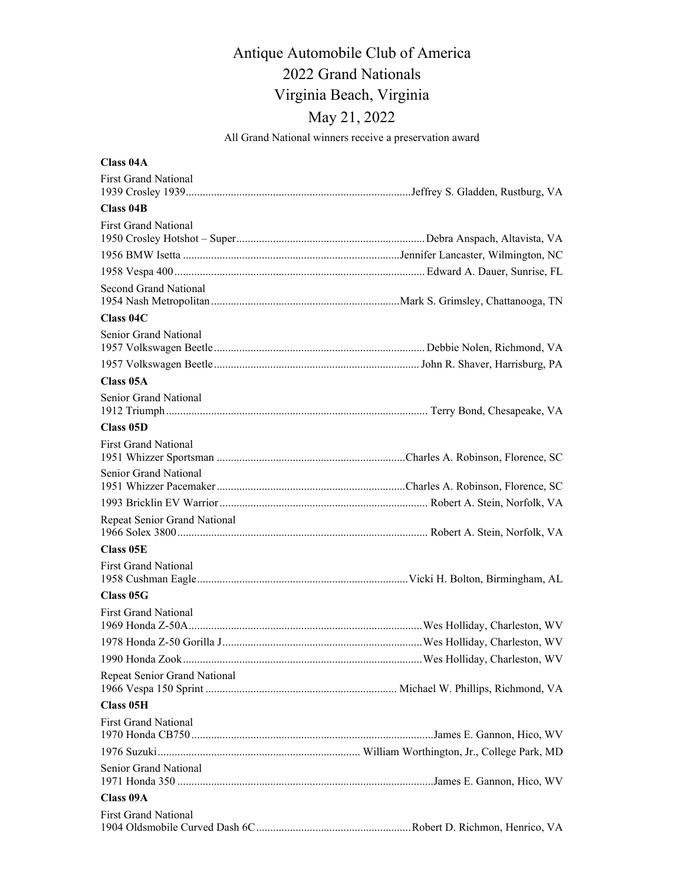# Antique Automobile Club of America 2022 Grand Nationals Virginia Beach, Virginia May 21, 2022

All Grand National winners receive a preservation award

| Class 04A                    |  |
|------------------------------|--|
| <b>First Grand National</b>  |  |
| Class 04B                    |  |
| <b>First Grand National</b>  |  |
|                              |  |
|                              |  |
| Second Grand National        |  |
| Class 04C                    |  |
| Senior Grand National        |  |
|                              |  |
| Class 05A                    |  |
| Senior Grand National        |  |
| Class 05D                    |  |
| <b>First Grand National</b>  |  |
| Senior Grand National        |  |
|                              |  |
| Repeat Senior Grand National |  |
| Class 05E                    |  |
| <b>First Grand National</b>  |  |
| Class 05G                    |  |
| <b>First Grand National</b>  |  |
|                              |  |
|                              |  |
| Repeat Senior Grand National |  |
| <b>Class 05H</b>             |  |
| <b>First Grand National</b>  |  |
|                              |  |
| Senior Grand National        |  |
| Class 09A                    |  |
| <b>First Grand National</b>  |  |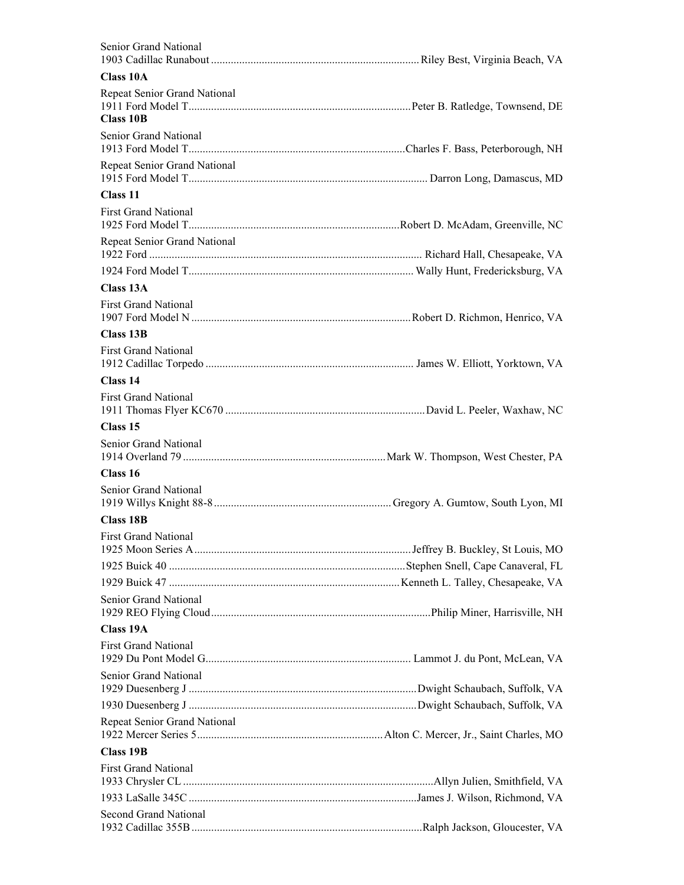| Senior Grand National                            |  |
|--------------------------------------------------|--|
| <b>Class 10A</b>                                 |  |
| Repeat Senior Grand National<br><b>Class 10B</b> |  |
| Senior Grand National                            |  |
| Repeat Senior Grand National                     |  |
| Class 11                                         |  |
| <b>First Grand National</b>                      |  |
| Repeat Senior Grand National                     |  |
|                                                  |  |
| Class 13A                                        |  |
| <b>First Grand National</b>                      |  |
| Class 13B                                        |  |
| <b>First Grand National</b>                      |  |
| Class 14                                         |  |
| <b>First Grand National</b>                      |  |
| Class 15                                         |  |
| Senior Grand National                            |  |
| Class 16                                         |  |
| Senior Grand National                            |  |
| <b>Class 18B</b>                                 |  |
| <b>First Grand National</b>                      |  |
|                                                  |  |
|                                                  |  |
| Senior Grand National                            |  |
| Class 19A                                        |  |
| <b>First Grand National</b>                      |  |
| Senior Grand National                            |  |
|                                                  |  |
| Repeat Senior Grand National                     |  |
| <b>Class 19B</b>                                 |  |
| <b>First Grand National</b>                      |  |
|                                                  |  |
| <b>Second Grand National</b>                     |  |
|                                                  |  |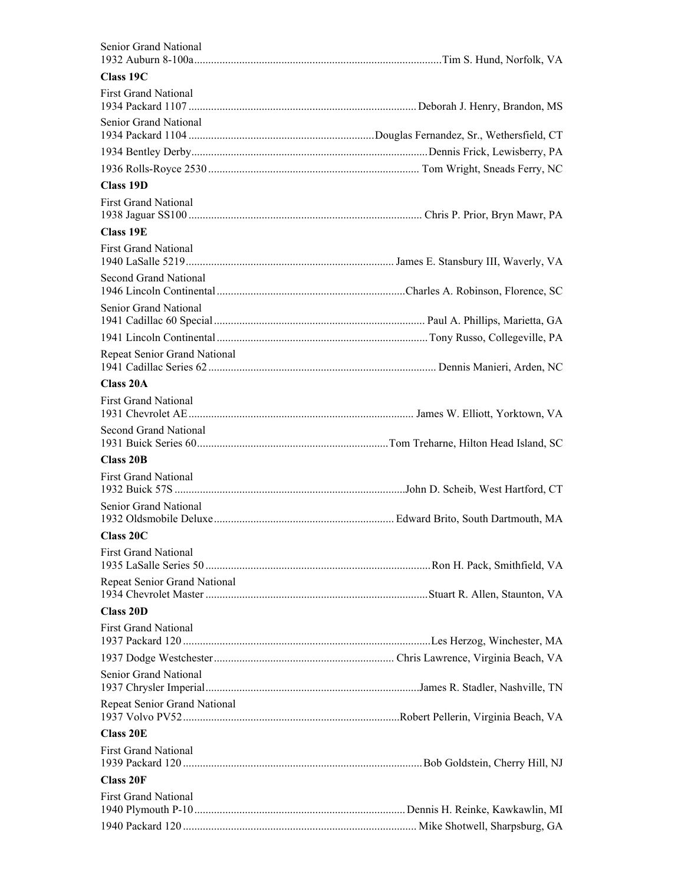| Senior Grand National        |  |
|------------------------------|--|
| Class 19C                    |  |
| <b>First Grand National</b>  |  |
| Senior Grand National        |  |
|                              |  |
|                              |  |
| Class 19D                    |  |
| <b>First Grand National</b>  |  |
| <b>Class 19E</b>             |  |
| <b>First Grand National</b>  |  |
| Second Grand National        |  |
| Senior Grand National        |  |
|                              |  |
| Repeat Senior Grand National |  |
| Class 20A                    |  |
| <b>First Grand National</b>  |  |
| Second Grand National        |  |
| Class 20B                    |  |
| <b>First Grand National</b>  |  |
| Senior Grand National        |  |
| Class 20C                    |  |
| <b>First Grand National</b>  |  |
| Repeat Senior Grand National |  |
| <b>Class 20D</b>             |  |
| <b>First Grand National</b>  |  |
|                              |  |
| Senior Grand National        |  |
| Repeat Senior Grand National |  |
| <b>Class 20E</b>             |  |
| <b>First Grand National</b>  |  |
| <b>Class 20F</b>             |  |
| <b>First Grand National</b>  |  |
|                              |  |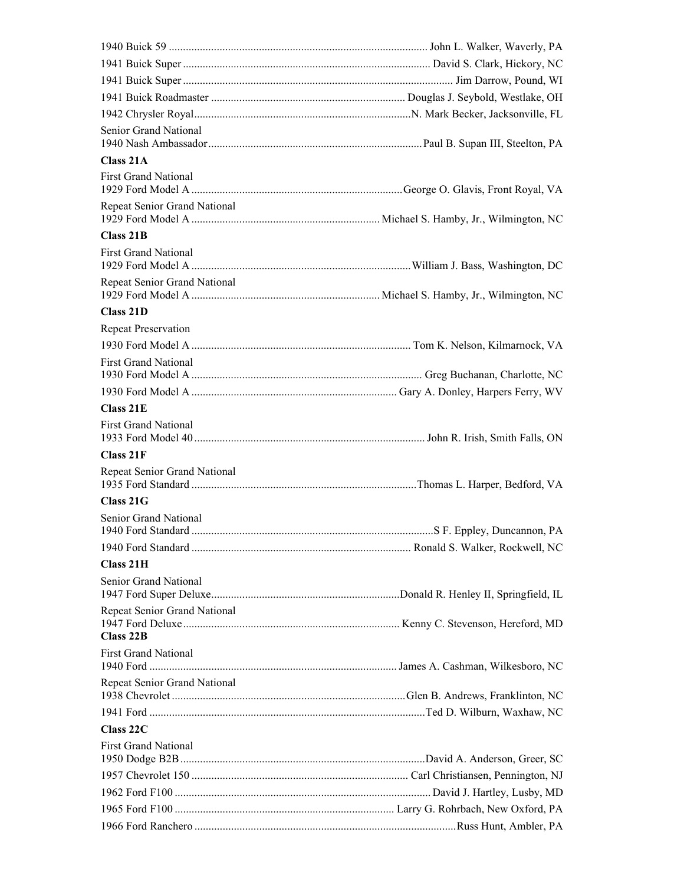| Senior Grand National                     |  |
|-------------------------------------------|--|
| Class 21A                                 |  |
| <b>First Grand National</b>               |  |
| Repeat Senior Grand National              |  |
| Class 21B                                 |  |
| <b>First Grand National</b>               |  |
| Repeat Senior Grand National              |  |
| Class 21D                                 |  |
| <b>Repeat Preservation</b>                |  |
|                                           |  |
| <b>First Grand National</b>               |  |
|                                           |  |
| Class 21E                                 |  |
| <b>First Grand National</b>               |  |
| Class 21F                                 |  |
| Repeat Senior Grand National              |  |
| Class 21G                                 |  |
| Senior Grand National                     |  |
|                                           |  |
| Class 21H                                 |  |
| Senior Grand National                     |  |
| Repeat Senior Grand National<br>Class 22B |  |
| <b>First Grand National</b>               |  |
| Repeat Senior Grand National              |  |
|                                           |  |
| Class 22C                                 |  |
| <b>First Grand National</b>               |  |
|                                           |  |
|                                           |  |
|                                           |  |
|                                           |  |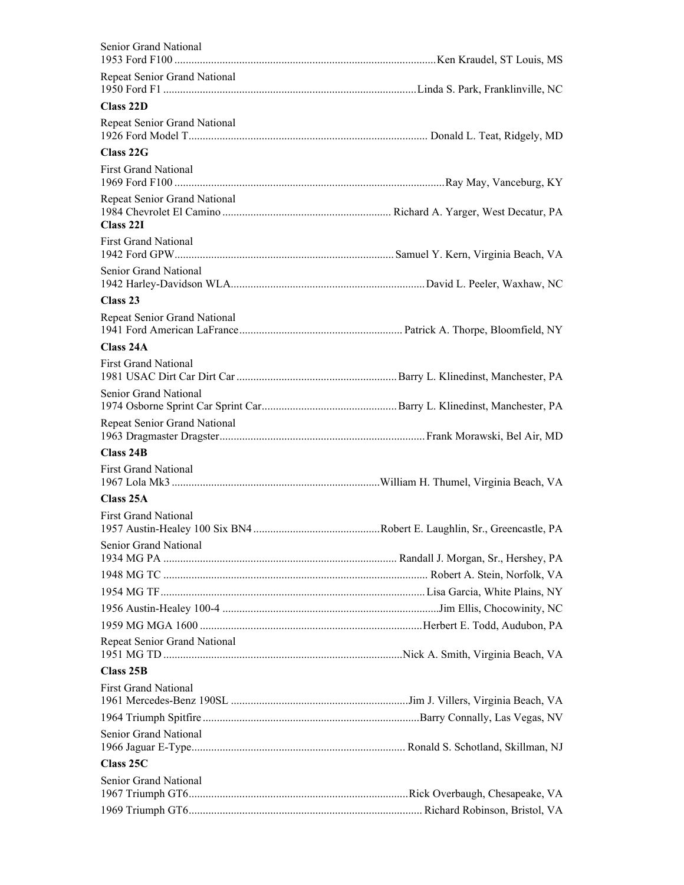| Senior Grand National                     |  |
|-------------------------------------------|--|
| Repeat Senior Grand National              |  |
| Class 22D                                 |  |
| Repeat Senior Grand National              |  |
| Class 22G                                 |  |
| <b>First Grand National</b>               |  |
| Repeat Senior Grand National<br>Class 22I |  |
| <b>First Grand National</b>               |  |
| Senior Grand National                     |  |
| Class <sub>23</sub>                       |  |
| Repeat Senior Grand National              |  |
| Class 24A                                 |  |
| <b>First Grand National</b>               |  |
| Senior Grand National                     |  |
| Repeat Senior Grand National              |  |
| Class 24B                                 |  |
| <b>First Grand National</b>               |  |
| Class 25A                                 |  |
| <b>First Grand National</b>               |  |
| Senior Grand National                     |  |
|                                           |  |
|                                           |  |
|                                           |  |
|                                           |  |
| Repeat Senior Grand National              |  |
| Class 25B                                 |  |
| <b>First Grand National</b>               |  |
|                                           |  |
| Senior Grand National                     |  |
| Class 25C                                 |  |
| Senior Grand National                     |  |
|                                           |  |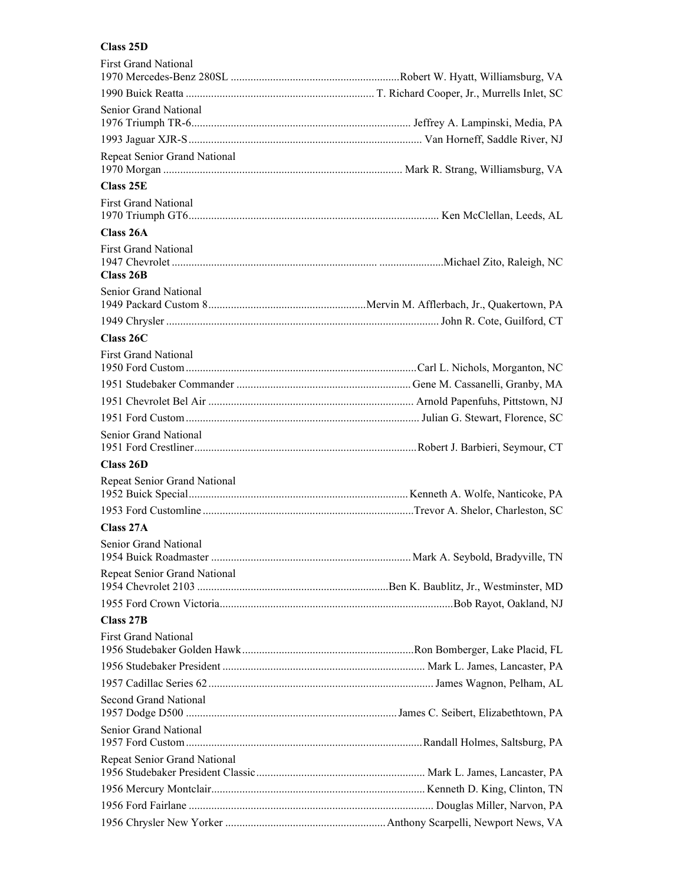## **Class 25D**

| <b>First Grand National</b>              |  |
|------------------------------------------|--|
|                                          |  |
| Senior Grand National                    |  |
|                                          |  |
| Repeat Senior Grand National             |  |
| Class 25E                                |  |
| <b>First Grand National</b>              |  |
| Class 26A                                |  |
| <b>First Grand National</b><br>Class 26B |  |
| Senior Grand National                    |  |
|                                          |  |
|                                          |  |
| Class 26C                                |  |
| <b>First Grand National</b>              |  |
|                                          |  |
|                                          |  |
|                                          |  |
| Senior Grand National                    |  |
|                                          |  |
| Class 26D                                |  |
| Repeat Senior Grand National             |  |
|                                          |  |
| Class 27A                                |  |
| Senior Grand National                    |  |
| Repeat Senior Grand National             |  |
|                                          |  |
| Class 27B                                |  |
| <b>First Grand National</b>              |  |
|                                          |  |
|                                          |  |
| <b>Second Grand National</b>             |  |
| Senior Grand National                    |  |
| Repeat Senior Grand National             |  |
|                                          |  |
|                                          |  |
|                                          |  |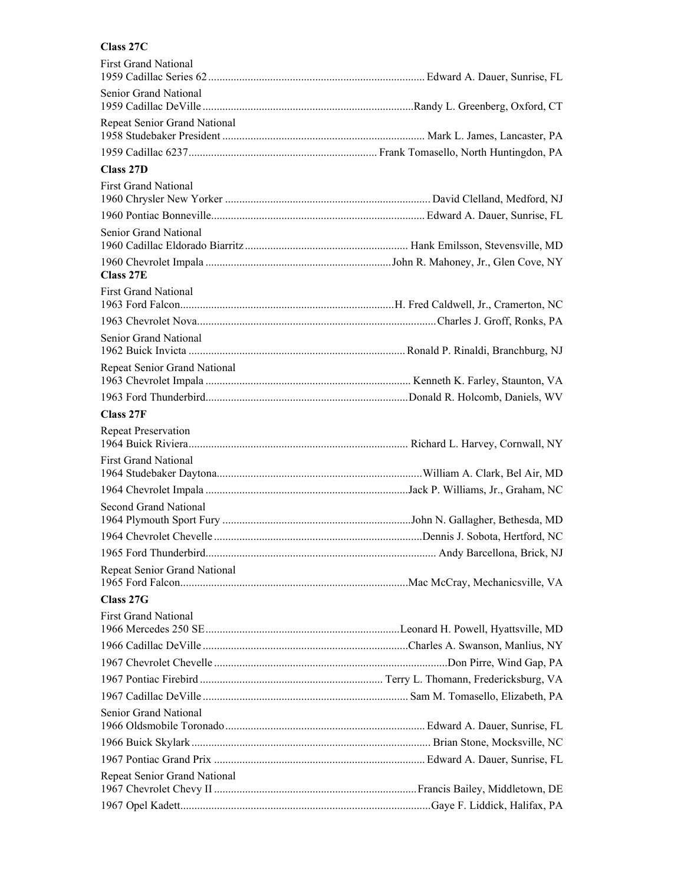#### **Class 27C**

| <b>First Grand National</b>  |  |
|------------------------------|--|
| Senior Grand National        |  |
| Repeat Senior Grand National |  |
|                              |  |
| Class 27D                    |  |
| <b>First Grand National</b>  |  |
|                              |  |
|                              |  |
| Senior Grand National        |  |
| Class 27E                    |  |
| <b>First Grand National</b>  |  |
|                              |  |
| Senior Grand National        |  |
| Repeat Senior Grand National |  |
|                              |  |
|                              |  |
| Class 27F                    |  |
| <b>Repeat Preservation</b>   |  |
| <b>First Grand National</b>  |  |
|                              |  |
|                              |  |
| Second Grand National        |  |
|                              |  |
|                              |  |
| Repeat Senior Grand National |  |
| Class 27G                    |  |
| <b>First Grand National</b>  |  |
|                              |  |
|                              |  |
|                              |  |
|                              |  |
|                              |  |
| Senior Grand National        |  |
|                              |  |
|                              |  |
| Repeat Senior Grand National |  |
|                              |  |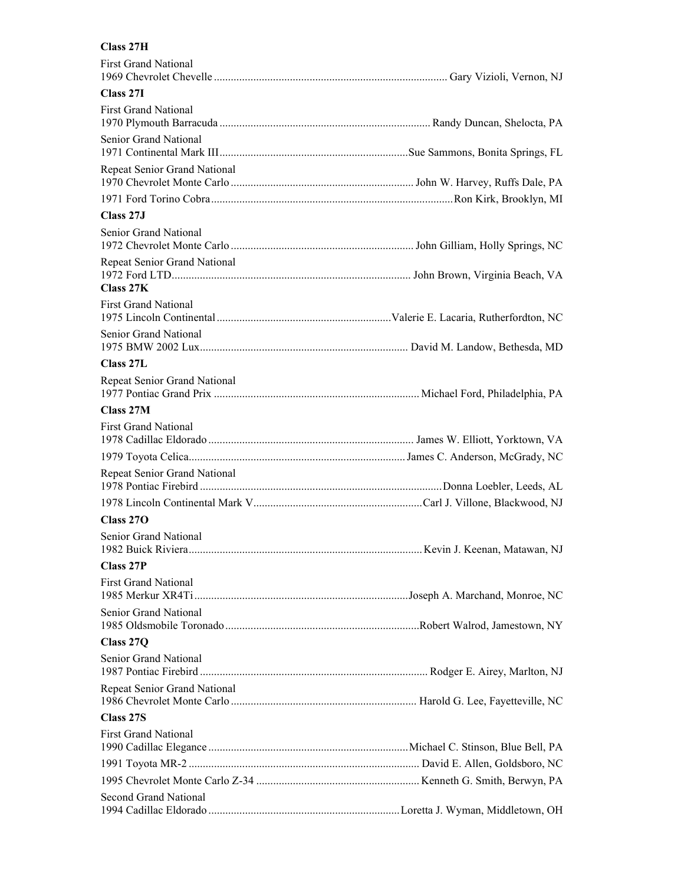# **Class 27H**

| <b>First Grand National</b>               |  |
|-------------------------------------------|--|
| Class 27I                                 |  |
| <b>First Grand National</b>               |  |
| Senior Grand National                     |  |
| Repeat Senior Grand National              |  |
|                                           |  |
| Class 27J                                 |  |
| Senior Grand National                     |  |
| Repeat Senior Grand National<br>Class 27K |  |
| <b>First Grand National</b>               |  |
| Senior Grand National                     |  |
| Class 27L                                 |  |
| Repeat Senior Grand National              |  |
| Class 27M                                 |  |
| <b>First Grand National</b>               |  |
|                                           |  |
| Repeat Senior Grand National              |  |
|                                           |  |
| Class 270                                 |  |
| Senior Grand National                     |  |
| <b>Class 27P</b>                          |  |
| <b>First Grand National</b>               |  |
| Senior Grand National                     |  |
| Class 27Q                                 |  |
| Senior Grand National                     |  |
| Repeat Senior Grand National              |  |
| Class 27S                                 |  |
| <b>First Grand National</b>               |  |
|                                           |  |
|                                           |  |
| <b>Second Grand National</b>              |  |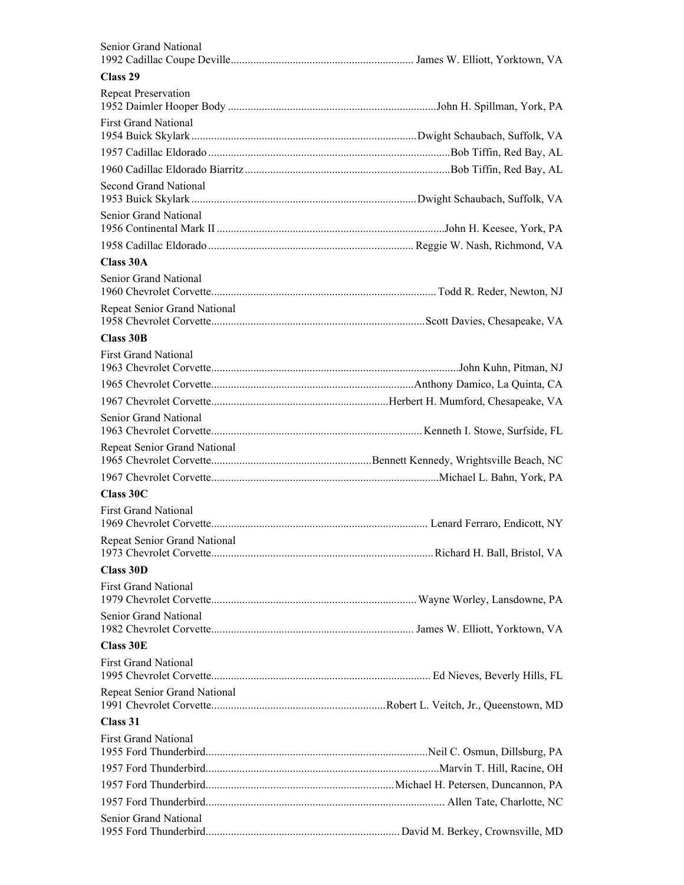| Senior Grand National        |  |
|------------------------------|--|
|                              |  |
| Class 29                     |  |
| <b>Repeat Preservation</b>   |  |
| <b>First Grand National</b>  |  |
|                              |  |
|                              |  |
| Second Grand National        |  |
| Senior Grand National        |  |
|                              |  |
| Class 30A                    |  |
| Senior Grand National        |  |
| Repeat Senior Grand National |  |
| Class 30B                    |  |
| <b>First Grand National</b>  |  |
|                              |  |
|                              |  |
| Senior Grand National        |  |
| Repeat Senior Grand National |  |
|                              |  |
| Class 30C                    |  |
| <b>First Grand National</b>  |  |
| Repeat Senior Grand National |  |
| Class 30D                    |  |
| <b>First Grand National</b>  |  |
| Senior Grand National        |  |
| <b>Class 30E</b>             |  |
| <b>First Grand National</b>  |  |
| Repeat Senior Grand National |  |
| Class 31                     |  |
| <b>First Grand National</b>  |  |
|                              |  |
|                              |  |
|                              |  |
| Senior Grand National        |  |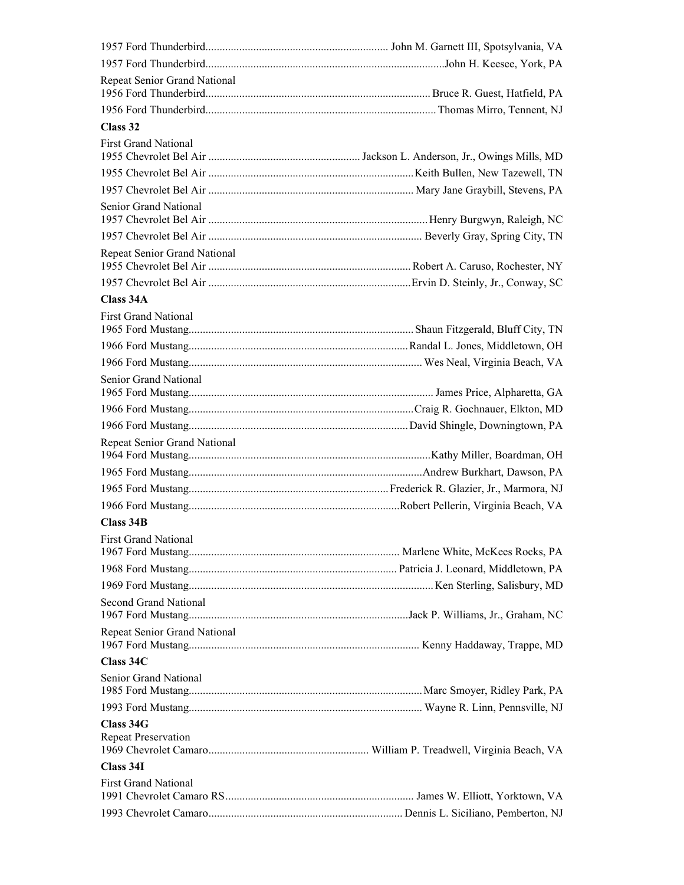| Repeat Senior Grand National     |  |
|----------------------------------|--|
|                                  |  |
| Class 32                         |  |
| <b>First Grand National</b>      |  |
|                                  |  |
|                                  |  |
| Senior Grand National            |  |
|                                  |  |
| Repeat Senior Grand National     |  |
|                                  |  |
| Class 34A                        |  |
| <b>First Grand National</b>      |  |
|                                  |  |
|                                  |  |
| Senior Grand National            |  |
|                                  |  |
|                                  |  |
|                                  |  |
| Repeat Senior Grand National     |  |
|                                  |  |
|                                  |  |
|                                  |  |
| Class 34B                        |  |
| <b>First Grand National</b>      |  |
|                                  |  |
|                                  |  |
| Second Grand National            |  |
| Repeat Senior Grand National     |  |
| Class 34C                        |  |
| Senior Grand National            |  |
|                                  |  |
| Class 34G<br>Repeat Preservation |  |
| Class 34I                        |  |
| <b>First Grand National</b>      |  |
|                                  |  |
|                                  |  |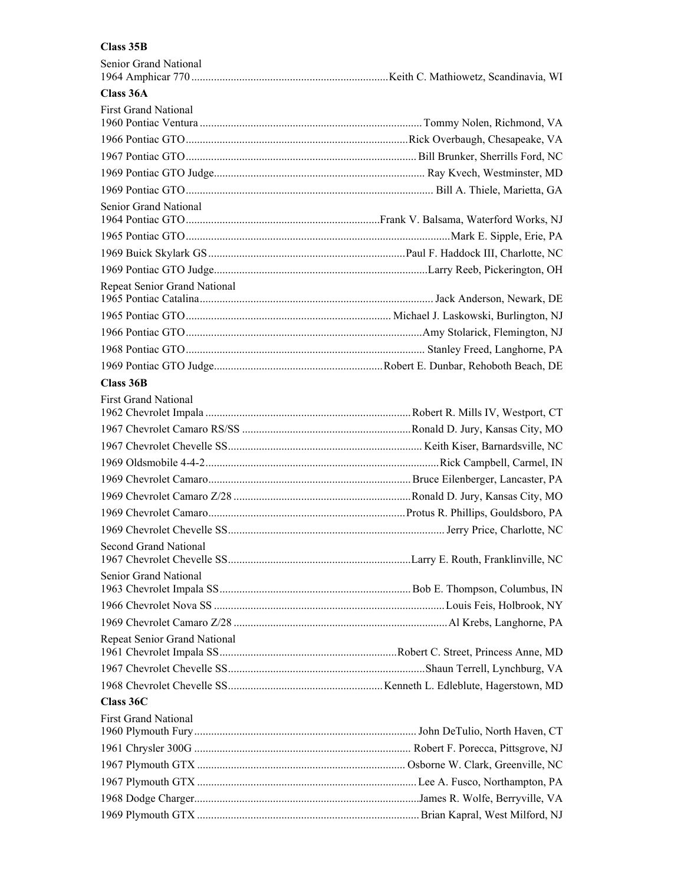## **Class 35B**

| Senior Grand National        |  |
|------------------------------|--|
| Class 36A                    |  |
| <b>First Grand National</b>  |  |
|                              |  |
|                              |  |
|                              |  |
|                              |  |
| Senior Grand National        |  |
|                              |  |
|                              |  |
|                              |  |
|                              |  |
| Repeat Senior Grand National |  |
|                              |  |
|                              |  |
|                              |  |
|                              |  |
| Class 36B                    |  |
| <b>First Grand National</b>  |  |
|                              |  |
|                              |  |
|                              |  |
|                              |  |
|                              |  |
|                              |  |
|                              |  |
|                              |  |
| Second Grand National        |  |
| Senior Grand National        |  |
|                              |  |
|                              |  |
|                              |  |
| Repeat Senior Grand National |  |
|                              |  |
|                              |  |
| Class 36C                    |  |
| <b>First Grand National</b>  |  |
|                              |  |
|                              |  |
|                              |  |
|                              |  |
|                              |  |
|                              |  |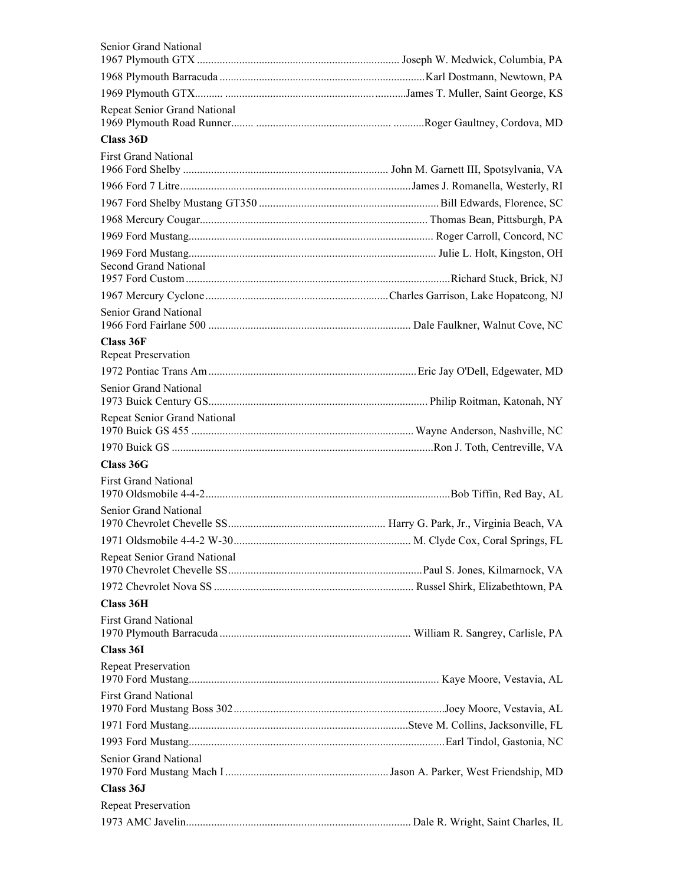| Senior Grand National                   |  |
|-----------------------------------------|--|
|                                         |  |
|                                         |  |
| Repeat Senior Grand National            |  |
| Class 36D                               |  |
| <b>First Grand National</b>             |  |
|                                         |  |
|                                         |  |
|                                         |  |
|                                         |  |
|                                         |  |
|                                         |  |
| <b>Second Grand National</b>            |  |
|                                         |  |
| Senior Grand National                   |  |
|                                         |  |
| Class 36F<br><b>Repeat Preservation</b> |  |
|                                         |  |
| Senior Grand National                   |  |
| Repeat Senior Grand National            |  |
|                                         |  |
|                                         |  |
| Class 36G                               |  |
| <b>First Grand National</b>             |  |
| Senior Grand National                   |  |
|                                         |  |
| Repeat Senior Grand National            |  |
|                                         |  |
|                                         |  |
| Class 36H                               |  |
| <b>First Grand National</b>             |  |
| Class 36I                               |  |
| <b>Repeat Preservation</b>              |  |
| <b>First Grand National</b>             |  |
|                                         |  |
|                                         |  |
|                                         |  |
| Senior Grand National                   |  |
| Class 36J                               |  |
| <b>Repeat Preservation</b>              |  |
|                                         |  |